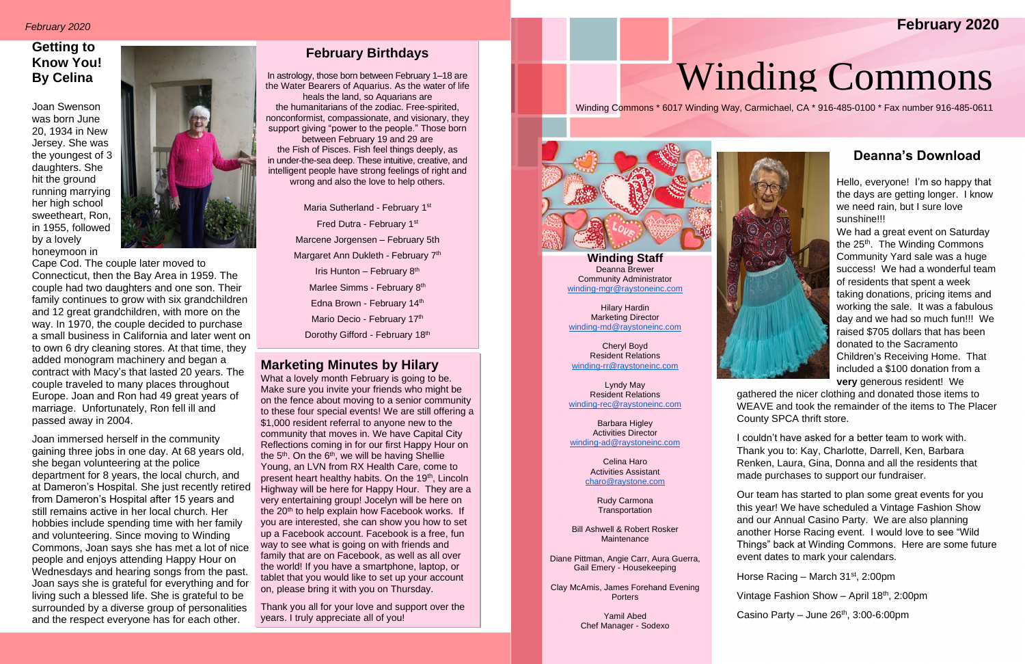# Winding Commons

# **Getting to Know You! By Celina**

Joan Swenson was born June 20, 1934 in New Jersey. She was the youngest of 3 daughters. She hit the ground running marrying her high school sweetheart, Ron, in 1955, followed by a lovely honeymoon in



Cape Cod. The couple later moved to Connecticut, then the Bay Area in 1959. The couple had two daughters and one son. Their family continues to grow with six grandchildren and 12 great grandchildren, with more on the way. In 1970, the couple decided to purchase a small business in California and later went on to own 6 dry cleaning stores. At that time, they added monogram machinery and began a contract with Macy's that lasted 20 years. The couple traveled to many places throughout Europe. Joan and Ron had 49 great years of marriage. Unfortunately, Ron fell ill and passed away in 2004.

Joan immersed herself in the community gaining three jobs in one day. At 68 years old, she began volunteering at the police department for 8 years, the local church, and at Dameron's Hospital. She just recently retired from Dameron's Hospital after 15 years and still remains active in her local church. Her hobbies include spending time with her family and volunteering. Since moving to Winding Commons, Joan says she has met a lot of nice people and enjoys attending Happy Hour on Wednesdays and hearing songs from the past. Joan says she is grateful for everything and for living such a blessed life. She is grateful to be surrounded by a diverse group of personalities and the respect everyone has for each other.

## **February Birthdays**

What a lovely month February is going to be. Make sure you invite your friends who might be on the fence about moving to a senior community to these four special events! We are still offering a \$1,000 resident referral to anyone new to the community that moves in. We have Capital City Reflections coming in for our first Happy Hour on the  $5<sup>th</sup>$ . On the  $6<sup>th</sup>$ , we will be having Shellie Young, an LVN from RX Health Care, come to present heart healthy habits. On the 19<sup>th</sup>, Lincoln Highway will be here for Happy Hour. They are a very entertaining group! Jocelyn will be here on the 20<sup>th</sup> to help explain how Facebook works. If you are interested, she can show you how to set up a Facebook account. Facebook is a free, fun way to see what is going on with friends and family that are on Facebook, as well as all over the world! If you have a smartphone, laptop, or tablet that you would like to set up your account on, please bring it with you on Thursday.

In astrology, those born between February 1–18 are the Water Bearers of Aquarius. As the water of life heals the land, so Aquarians are the humanitarians of the zodiac. Free-spirited, nonconformist, compassionate, and visionary, they support giving "power to the people." Those born between February 19 and 29 are the Fish of Pisces. Fish feel things deeply, as in under-the-sea deep. These intuitive, creative, and intelligent people have strong feelings of right and wrong and also the love to help others.

> Maria Sutherland - February 1st Fred Dutra - February 1st Marcene Jorgensen – February 5th Margaret Ann Dukleth - February 7<sup>th</sup> Iris Hunton - February 8<sup>th</sup> Marlee Simms - February 8<sup>th</sup> Edna Brown - February 14th Mario Decio - February 17<sup>th</sup> Dorothy Gifford - February 18th

# **Marketing Minutes by Hilary**

Rudy Carmona **Transportation** 

Bill Ashwell & Robert Rosker **Maintenance** 

Clay McAmis, James Forehand Evening **Porters** 

Thank you all for your love and support over the years. I truly appreciate all of you!

Ī

Winding Commons \* 6017 Winding Way, Carmichael, CA \* 916-485-0100 \* Fax number 916-485-0611



# **Deanna's Download**

Hello, everyone! I'm so happy that the days are getting longer. I know we need rain, but I sure love sunshine!!!

We had a great event on Saturday the 25<sup>th</sup>. The Winding Commons Community Yard sale was a huge success! We had a wonderful team of residents that spent a week taking donations, pricing items and working the sale. It was a fabulous day and we had so much fun!!! We raised \$705 dollars that has been donated to the Sacramento Children's Receiving Home. That included a \$100 donation from a **very** generous resident! We

gathered the nicer clothing and donated those items to WEAVE and took the remainder of the items to The Placer County SPCA thrift store.

I couldn't have asked for a better team to work with. Thank you to: Kay, Charlotte, Darrell, Ken, Barbara Renken, Laura, Gina, Donna and all the residents that made purchases to support our fundraiser.

Our team has started to plan some great events for you this year! We have scheduled a Vintage Fashion Show and our Annual Casino Party. We are also planning another Horse Racing event. I would love to see "Wild Things" back at Winding Commons. Here are some future event dates to mark your calendars.

Horse Racing - March 31<sup>st</sup>, 2:00pm

Vintage Fashion Show - April 18<sup>th</sup>, 2:00pm

Casino Party  $-$  June 26<sup>th</sup>, 3:00-6:00pm

# **February 2020**



**Winding Staff** Deanna Brewer Community Administrator [winding-mgr@raystoneinc.com](mailto:winding-mgr@raystoneinc.com) 

Hilary Hardin Marketing Director [winding-md@raystoneinc.com](mailto:winding-md@raystoneinc.com)

Cheryl Boyd Resident Relations [winding-rr@raystoneinc.com](mailto:winding-rr@raystoneinc.com)

Lyndy May Resident Relations [winding-rec@raystoneinc.com](mailto:winding-rec@raystoneinc.com)

Barbara Higley Activities Director [winding-ad@raystoneinc.com](mailto:winding-ad@raystoneinc.com)

> Celina Haro Activities Assistant [charo@raystone.com](mailto:charo@raystone.com)

Diane Pittman, Angie Carr, Aura Guerra, Gail Emery - Housekeeping

> Yamil Abed Chef Manager - Sodexo